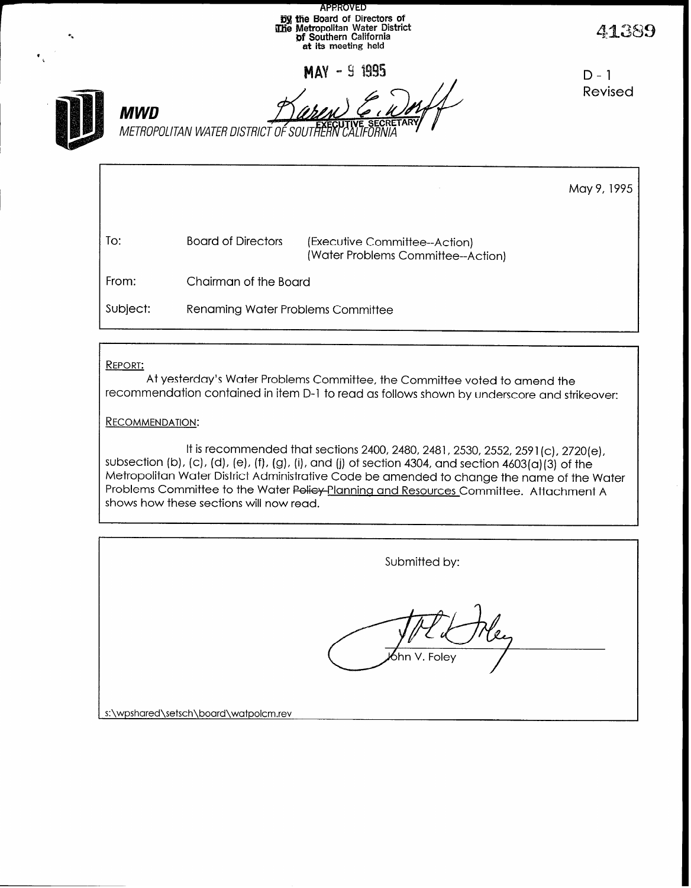| $\mathbf{r}_n$<br>$\bullet$ |            | <b>APPROVED</b><br><b>Dy the Board of Directors of</b><br><b>The Metropolitan Water District of Southern California</b><br>at its meeting held |                                                                     |                    |
|-----------------------------|------------|------------------------------------------------------------------------------------------------------------------------------------------------|---------------------------------------------------------------------|--------------------|
|                             | <b>MWD</b> | METROPOLITAN WATER DISTRICT OF SOUTHERN                                                                                                        | <b>MAY - 9 1995</b>                                                 | $D - 1$<br>Revised |
|                             |            |                                                                                                                                                |                                                                     | May 9, 1995        |
|                             | To:        | <b>Board of Directors</b>                                                                                                                      | (Executive Committee--Action)<br>(Water Problems Committee--Action) |                    |
|                             | From:      | Chairman of the Board                                                                                                                          |                                                                     |                    |

Subject: Renaming Water Problems Committee

## REPORT:

At yesterday's Water Problems Committee, the Committee voted to amend the recommendation contained in item D-l to read as follows shown by underscore and strikeover:

### RECOMMENDATION:

It is recommended that sections 2400, 2480, 2481, 2530, 2552, 2591 (c), 2720 (e), subsection (b), (c), (d), (e), (f), (g), (i), and (j) of section 4304, and section 4603(a)(3) of the Metropolitan Water District Administrative Code be amended to change the name of the Water Problems Committee to the Water Policy-Planning and Resources Committee. Attachment A shows how these sections will now read.

|                                       | Submitted by: |
|---------------------------------------|---------------|
|                                       | bhn V. Foley, |
| s:\wpshared\setsch\board\watpolcm.rev |               |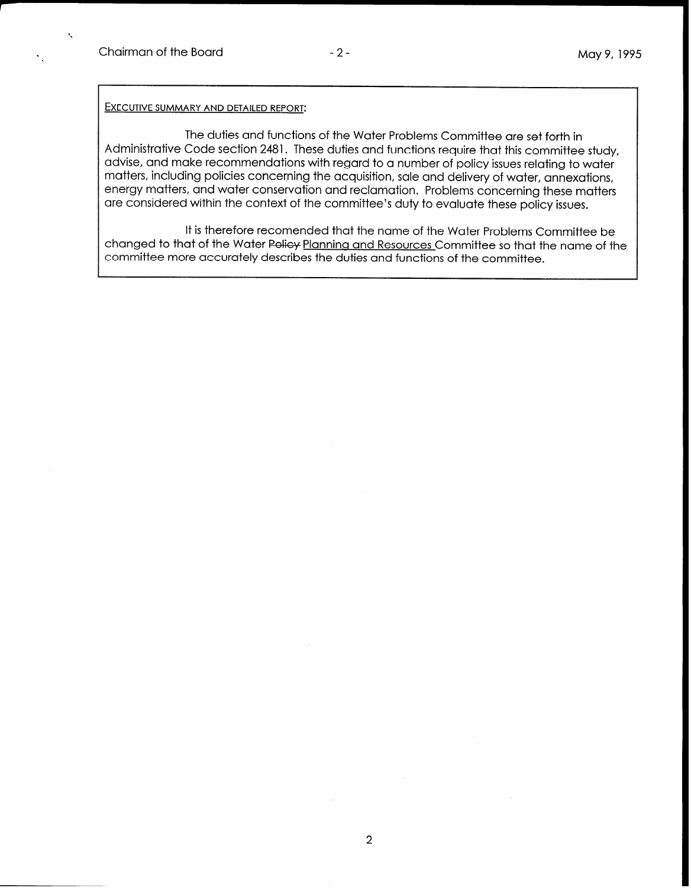$\mathbf{t}_i$ 

#### EXECUTIVE SUMMARY AND DETAILED REPORT:

The duties and functions of the Water Problems Committee are set forth in Administrative Code section 2481. These duties and functions require that this committee study, advise, and make recommendations with regard to a number of policy issues relating to water matters, including policies concerning the acquisition, sale and delivery of water, annexations, energy matters, and water conservation and reclamation. Problems concerning these matters are considered within the context of the committee's duty to evaluate these policy issues.

It is therefore recomended that the name of the Water Problems Committee be changed to that of the Water Policy Planning and Resources Committee so that the name of the committee more accurately describes the duties and functions of the committee.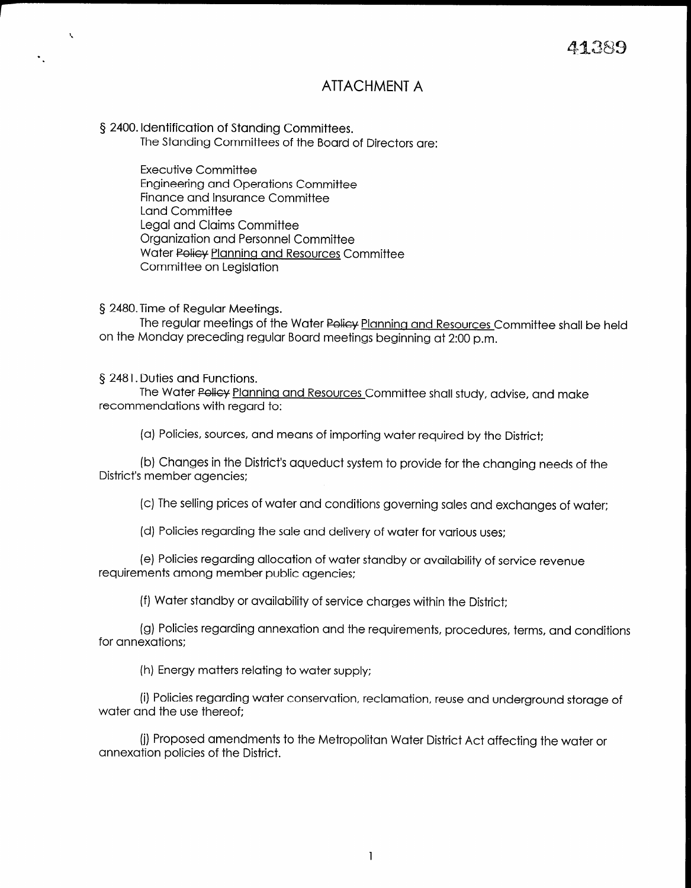# ATTACHMENT A

5 2400. Identification of Standing Committees.

.

 $\bar{\mathbf{r}}$ 

The Standing Committees of the Board of Directors are:

Executive Committee Engineering and Operations Committee Finance and Insurance Committee Land Committee Legal and Claims Committee Organization and Personnel Committee Water Policy Planning and Resources Committee Committee on Legislation

§ 2480.Time of Regular Meetings.

The regular meetings of the Water Policy Planning and Resources Committee shall be held on the Monday preceding regular Board meetings beginning at 2:00 p.m.

5 2481. Duties and Functions.

The Water Policy Planning and Resources Committee shall study, advise, and make recommendations with regard to:

(a) Policies, sources, and means of importing water required by the District;

(b) Changes in the District's aqueduct system to provide for the changing needs of the District's member agencies;

(c) The selling prices of water and conditions governing sales and exchanges of water:

(d) Policies regarding the sale and delivery of water for various uses;

(e) Policies regarding allocation of water standby or availability of service revenue requirements and member public and the public agencies  $\epsilon$ 

(f) Water standby or availability of service charges within the District:

(g) Policies regarding annexation and the requirements, procedures, procedures, procedures, and conditions, and conditions,  $\alpha$ for annexations:

(I) Policies regarali

(i) Proposed amendments to the Metropolitan Water District Act affecting the water or<br>annexation policies of the District.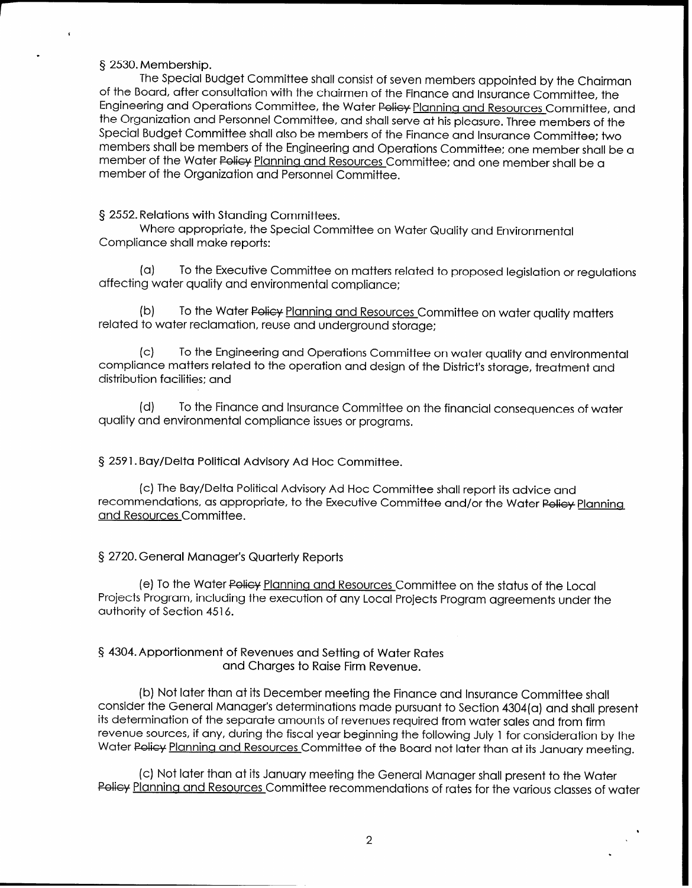### § 2530. Membership.

.

The Special Budget Committee shall consist of seven members appointed by the Chairman of the Board, after consultation with the chairmen of the Finance and Insurance Committee, the Enaineerina and Operations Committee, the Water Policy Planning and Resources Committee, and the Organization and Personnel Committee, and shall serve at his pleasure. Three members of the Special Budget Committee shall also be members of the Finance and Insurance Committee: two members shall be members of the Engineering and Operations Committee: one member shall be a member of the Water Policy Planning and Resources Committee; and one member shall be a member of the Organization and Personnel Committee.

§ 2552. Relations with Standing Committees.

Where appropriate, the Special Committee on Water Quality and Environmental Compliance shall make reports:

(a) To the Executive Committee on matters related to proposed legislation or regulations affecting water quality and environmental compliance;

(b) To the Water Policy Planning and Resources Committee on water quality matters related to water reclamation, reuse and underground storage;

(cl To the Engineering and Operations Committee on water quality and environmental compliance matters related to the operation and design of the District's storage, treatment and distribution facilities; and

Id) To the Finance and Insurance Committee on the financial consequences of water quality and environmental compliance issues or programs.

5 2591. Bay/Delta Political Advisory Ad Hoc Committee.

(c) The Bay/Delta Political Advisory Ad Hoc Committee shall report its advice and recommendations, as appropriate, to the Executive Committee and/or the Water Policy Planning and Resources Committee.

### 5 2720. General Manager's Quarterly Reports

(e) To the Water Policy Planning and Resources Committee on the status of the Local Projects Program, including the execution of any Local Projects Program agreements under the authority of Section 4516.

### § 4304. Apportionment of Revenues and Setting of Water Rates and Charges to Raise Firm Revenue.

(b) Not later than at its December meeting the Finance and Insurance Committee shall consider the General Manager's determinations made pursuant to Section 4304(a) and shall present its determination of the separate amounts of revenues required from water sales and from firm revenue sources, if any, during the fiscal year beginning the following July 1 for consideration by the Water Policy Planning and Resources Committee of the Board not later than at its January meeting.

(c) Not later than at its January meeting the General Manager shall present to the Water Policy Planning and Resources Committee recommendations of rates for the various classes of water